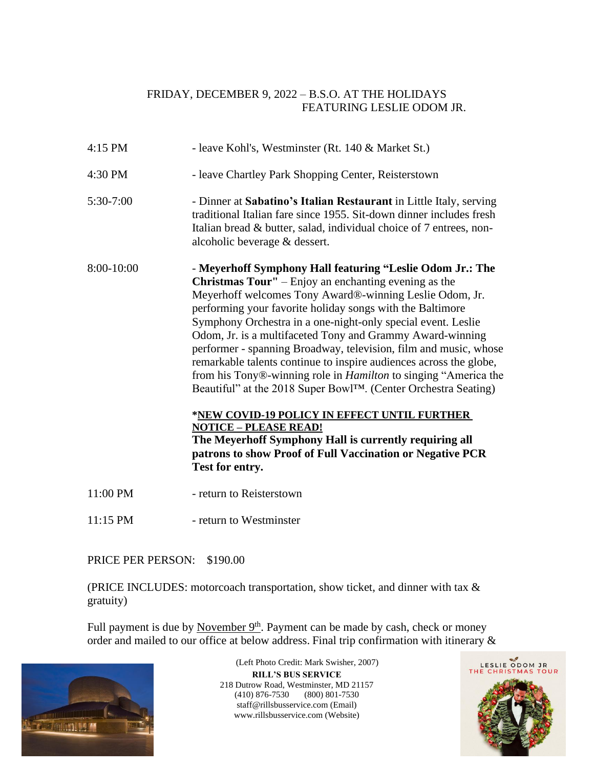## FRIDAY, DECEMBER 9, 2022 – B.S.O. AT THE HOLIDAYS FEATURING LESLIE ODOM JR.

| 4:15 PM     | - leave Kohl's, Westminster (Rt. 140 & Market St.)                                                                                                                                                                                                                                                                                                                                                                                                                                                                                                                                                                                                                                                                                                                                                                                                                                                           |
|-------------|--------------------------------------------------------------------------------------------------------------------------------------------------------------------------------------------------------------------------------------------------------------------------------------------------------------------------------------------------------------------------------------------------------------------------------------------------------------------------------------------------------------------------------------------------------------------------------------------------------------------------------------------------------------------------------------------------------------------------------------------------------------------------------------------------------------------------------------------------------------------------------------------------------------|
| 4:30 PM     | - leave Chartley Park Shopping Center, Reisterstown                                                                                                                                                                                                                                                                                                                                                                                                                                                                                                                                                                                                                                                                                                                                                                                                                                                          |
| $5:30-7:00$ | - Dinner at Sabatino's Italian Restaurant in Little Italy, serving<br>traditional Italian fare since 1955. Sit-down dinner includes fresh<br>Italian bread & butter, salad, individual choice of 7 entrees, non-<br>alcoholic beverage & dessert.                                                                                                                                                                                                                                                                                                                                                                                                                                                                                                                                                                                                                                                            |
| 8:00-10:00  | - Meyerhoff Symphony Hall featuring "Leslie Odom Jr.: The<br><b>Christmas Tour''</b> – Enjoy an enchanting evening as the<br>Meyerhoff welcomes Tony Award®-winning Leslie Odom, Jr.<br>performing your favorite holiday songs with the Baltimore<br>Symphony Orchestra in a one-night-only special event. Leslie<br>Odom, Jr. is a multifaceted Tony and Grammy Award-winning<br>performer - spanning Broadway, television, film and music, whose<br>remarkable talents continue to inspire audiences across the globe,<br>from his Tony®-winning role in <i>Hamilton</i> to singing "America the<br>Beautiful" at the 2018 Super Bowl <sup>TM</sup> . (Center Orchestra Seating)<br>*NEW COVID-19 POLICY IN EFFECT UNTIL FURTHER<br><b>NOTICE - PLEASE READ!</b><br>The Meyerhoff Symphony Hall is currently requiring all<br>patrons to show Proof of Full Vaccination or Negative PCR<br>Test for entry. |
| 11:00 PM    | - return to Reisterstown                                                                                                                                                                                                                                                                                                                                                                                                                                                                                                                                                                                                                                                                                                                                                                                                                                                                                     |
| $11:15$ PM  | - return to Westminster                                                                                                                                                                                                                                                                                                                                                                                                                                                                                                                                                                                                                                                                                                                                                                                                                                                                                      |

## PRICE PER PERSON: \$190.00

(PRICE INCLUDES: motorcoach transportation, show ticket, and dinner with tax & gratuity)

Full payment is due by November  $9<sup>th</sup>$ . Payment can be made by cash, check or money order and mailed to our office at below address. Final trip confirmation with itinerary &



**RILL'S BUS SERVICE** 218 Dutrow Road, Westminster, MD 21157 (410) 876-7530 (800) 801-7530 staff@rillsbusservice.com (Email) www.rillsbusservice.com (Website) (Left Photo Credit: Mark Swisher, 2007)